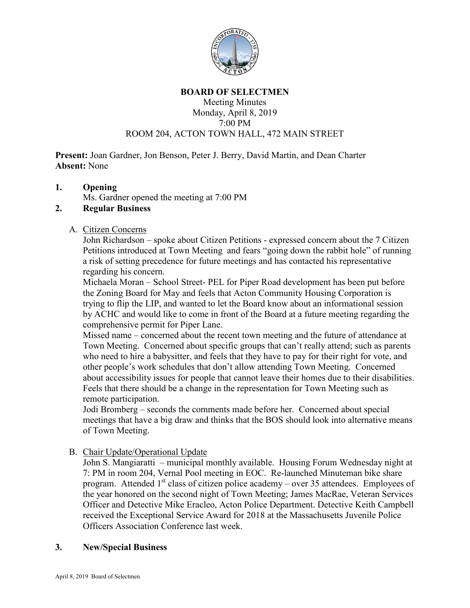

#### **BOARD OF SELECTMEN**

#### Meeting Minutes Monday, April 8, 2019 7:00 PM ROOM 204, ACTON TOWN HALL, 472 MAIN STREET

**Present:** Joan Gardner, Jon Benson, Peter J. Berry, David Martin, and Dean Charter **Absent:** None

### **1. Opening**

Ms. Gardner opened the meeting at 7:00 PM

### **2. Regular Business**

#### A. Citizen Concerns

John Richardson – spoke about Citizen Petitions - expressed concern about the 7 Citizen Petitions introduced at Town Meeting and fears "going down the rabbit hole" of running a risk of setting precedence for future meetings and has contacted his representative regarding his concern.

Michaela Moran – School Street- PEL for Piper Road development has been put before the Zoning Board for May and feels that Acton Community Housing Corporation is trying to flip the LIP, and wanted to let the Board know about an informational session by ACHC and would like to come in front of the Board at a future meeting regarding the comprehensive permit for Piper Lane.

Missed name – concerned about the recent town meeting and the future of attendance at Town Meeting. Concerned about specific groups that can't really attend; such as parents who need to hire a babysitter, and feels that they have to pay for their right for vote, and other people's work schedules that don't allow attending Town Meeting. Concerned about accessibility issues for people that cannot leave their homes due to their disabilities. Feels that there should be a change in the representation for Town Meeting such as remote participation.

Jodi Bromberg – seconds the comments made before her. Concerned about special meetings that have a big draw and thinks that the BOS should look into alternative means of Town Meeting.

# B. Chair Update/Operational Update

John S. Mangiaratti – municipal monthly available. Housing Forum Wednesday night at 7: PM in room 204, Vernal Pool meeting in EOC. Re-launched Minuteman bike share program. Attended  $1<sup>st</sup>$  class of citizen police academy – over 35 attendees. Employees of the year honored on the second night of Town Meeting; James MacRae, Veteran Services Officer and Detective Mike Eracleo, Acton Police Department. Detective Keith Campbell received the Exceptional Service Award for 2018 at the Massachusetts Juvenile Police Officers Association Conference last week.

#### **3. New/Special Business**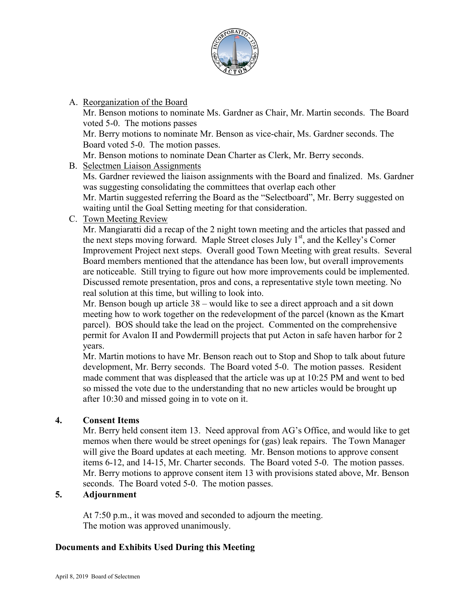

A. Reorganization of the Board

Mr. Benson motions to nominate Ms. Gardner as Chair, Mr. Martin seconds. The Board voted 5-0. The motions passes

Mr. Berry motions to nominate Mr. Benson as vice-chair, Ms. Gardner seconds. The Board voted 5-0. The motion passes.

Mr. Benson motions to nominate Dean Charter as Clerk, Mr. Berry seconds.

B. Selectmen Liaison Assignments

Ms. Gardner reviewed the liaison assignments with the Board and finalized. Ms. Gardner was suggesting consolidating the committees that overlap each other

Mr. Martin suggested referring the Board as the "Selectboard", Mr. Berry suggested on waiting until the Goal Setting meeting for that consideration.

C. Town Meeting Review

Mr. Mangiaratti did a recap of the 2 night town meeting and the articles that passed and the next steps moving forward. Maple Street closes July  $1<sup>st</sup>$ , and the Kelley's Corner Improvement Project next steps. Overall good Town Meeting with great results. Several Board members mentioned that the attendance has been low, but overall improvements are noticeable. Still trying to figure out how more improvements could be implemented. Discussed remote presentation, pros and cons, a representative style town meeting. No real solution at this time, but willing to look into.

Mr. Benson bough up article 38 – would like to see a direct approach and a sit down meeting how to work together on the redevelopment of the parcel (known as the Kmart parcel). BOS should take the lead on the project. Commented on the comprehensive permit for Avalon II and Powdermill projects that put Acton in safe haven harbor for 2 years.

Mr. Martin motions to have Mr. Benson reach out to Stop and Shop to talk about future development, Mr. Berry seconds. The Board voted 5-0. The motion passes. Resident made comment that was displeased that the article was up at 10:25 PM and went to bed so missed the vote due to the understanding that no new articles would be brought up after 10:30 and missed going in to vote on it.

# **4. Consent Items**

Mr. Berry held consent item 13. Need approval from AG's Office, and would like to get memos when there would be street openings for (gas) leak repairs. The Town Manager will give the Board updates at each meeting. Mr. Benson motions to approve consent items 6-12, and 14-15, Mr. Charter seconds. The Board voted 5-0. The motion passes. Mr. Berry motions to approve consent item 13 with provisions stated above, Mr. Benson seconds. The Board voted 5-0. The motion passes.

# **5. Adjournment**

At 7:50 p.m., it was moved and seconded to adjourn the meeting. The motion was approved unanimously.

# **Documents and Exhibits Used During this Meeting**